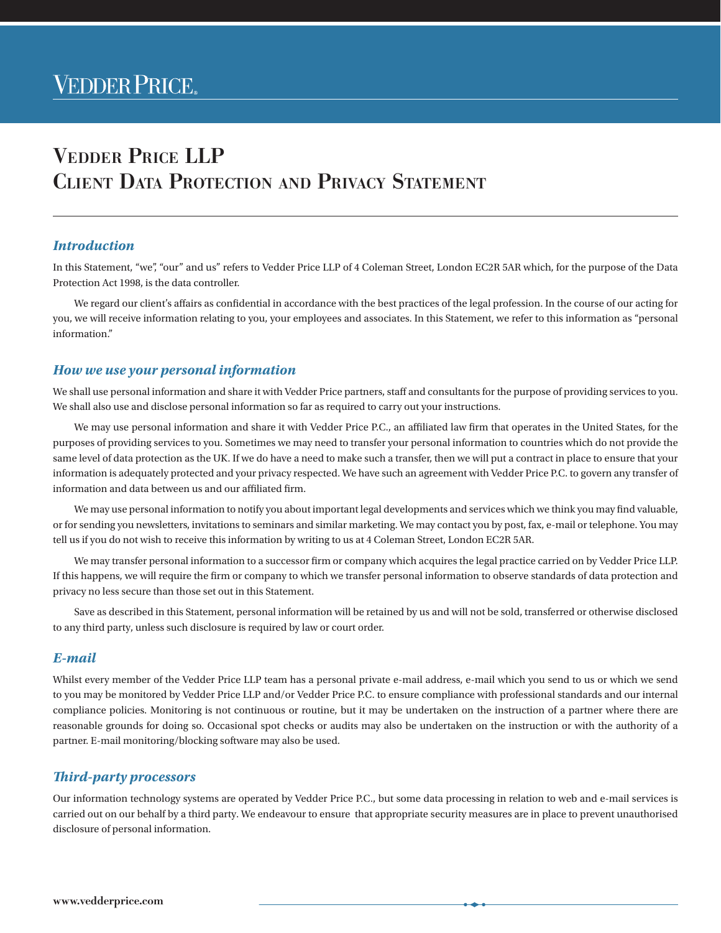# Vedder Price LLP Client Data Protection and Privacy Statement

### *Introduction*

In this Statement, "we", "our" and us" refers to Vedder Price LLP of 4 Coleman Street, London EC2R 5AR which, for the purpose of the Data Protection Act 1998, is the data controller.

We regard our client's affairs as confidential in accordance with the best practices of the legal profession. In the course of our acting for you, we will receive information relating to you, your employees and associates. In this Statement, we refer to this information as "personal information."

#### *How we use your personal information*

We shall use personal information and share it with Vedder Price partners, staff and consultants for the purpose of providing services to you. We shall also use and disclose personal information so far as required to carry out your instructions.

We may use personal information and share it with Vedder Price P.C., an affiliated law firm that operates in the United States, for the purposes of providing services to you. Sometimes we may need to transfer your personal information to countries which do not provide the same level of data protection as the UK. If we do have a need to make such a transfer, then we will put a contract in place to ensure that your information is adequately protected and your privacy respected. We have such an agreement with Vedder Price P.C. to govern any transfer of information and data between us and our affiliated firm.

We may use personal information to notify you about important legal developments and services which we think you may find valuable, or for sending you newsletters, invitations to seminars and similar marketing. We may contact you by post, fax, e‑mail or telephone. You may tell us if you do not wish to receive this information by writing to us at 4 Coleman Street, London EC2R 5AR.

We may transfer personal information to a successor firm or company which acquires the legal practice carried on by Vedder Price LLP. If this happens, we will require the firm or company to which we transfer personal information to observe standards of data protection and privacy no less secure than those set out in this Statement.

Save as described in this Statement, personal information will be retained by us and will not be sold, transferred or otherwise disclosed to any third party, unless such disclosure is required by law or court order.

#### *E-mail*

Whilst every member of the Vedder Price LLP team has a personal private e-mail address, e-mail which you send to us or which we send to you may be monitored by Vedder Price LLP and/or Vedder Price P.C. to ensure compliance with professional standards and our internal compliance policies. Monitoring is not continuous or routine, but it may be undertaken on the instruction of a partner where there are reasonable grounds for doing so. Occasional spot checks or audits may also be undertaken on the instruction or with the authority of a partner. E-mail monitoring/blocking software may also be used.

## *Third-party processors*

Our information technology systems are operated by Vedder Price P.C., but some data processing in relation to web and e‑mail services is carried out on our behalf by a third party. We endeavour to ensure that appropriate security measures are in place to prevent unauthorised disclosure of personal information.